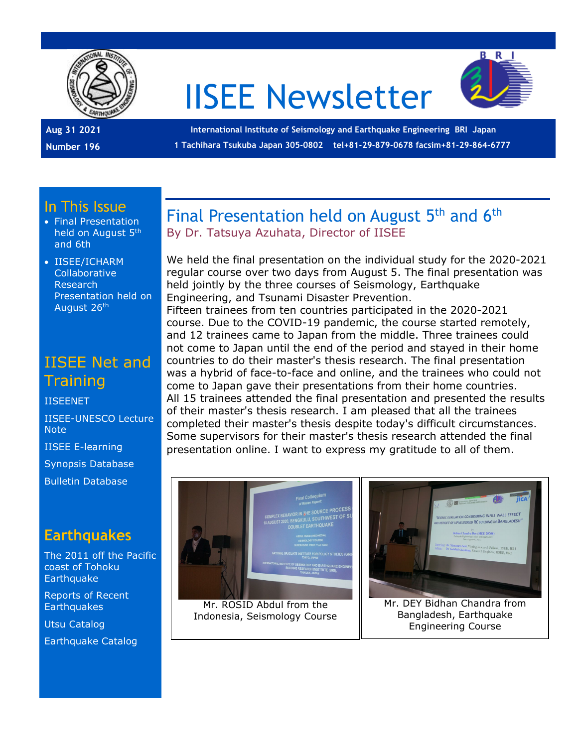

# IISEE Newsletter



**Aug 31 2021 Number 196**

**International Institute of Seismology and Earthquake Engineering BRI Japan 1 Tachihara Tsukuba Japan 305-0802 tel+81-29-879-0678 facsim+81-29-864-6777**

#### In This Issue

- Final Presentation held on August 5th and 6th
- IISEE/ICHARM Collaborative Research Presentation held on August 26th

# IISEE Net and **Training**

#### [IISEENET](http://iisee.kenken.go.jp/net/)

[IISEE-UNESCO Lecture](http://iisee/lna/)  **[Note](http://iisee/lna/)** 

[IISEE E-learning](http://iisee/el/) [Synopsis Database](http://iisee/syndb/) [Bulletin Database](http://iisee/bltndb/)

### **Earthquakes**

[The 2011 off the Pacific](http://iisee/special2/20110311tohoku.htm)  [coast of Tohoku](http://iisee/special2/20110311tohoku.htm)  **[Earthquake](http://iisee/special2/20110311tohoku.htm)** 

[Reports of Recent](http://iisee/quakes.htm)  **[Earthquakes](http://iisee/quakes.htm)** 

[Utsu Catalog](http://iisee/utsu/index_eng.html)

[Earthquake Catalog](http://iisee/eqcat/Top_page_en.htm)

#### Final Presentation held on August 5<sup>th</sup> and 6<sup>th</sup> By Dr. Tatsuya Azuhata, Director of IISEE

We held the final presentation on the individual study for the 2020-2021 regular course over two days from August 5. The final presentation was held jointly by the three courses of Seismology, Earthquake Engineering, and Tsunami Disaster Prevention. Fifteen trainees from ten countries participated in the 2020-2021 course. Due to the COVID-19 pandemic, the course started remotely, and 12 trainees came to Japan from the middle. Three trainees could not come to Japan until the end of the period and stayed in their home countries to do their master's thesis research. The final presentation was a hybrid of face-to-face and online, and the trainees who could not come to Japan gave their presentations from their home countries. All 15 trainees attended the final presentation and presented the results of their master's thesis research. I am pleased that all the trainees completed their master's thesis despite today's difficult circumstances. Some supervisors for their master's thesis research attended the final presentation online. I want to express my gratitude to all of them.



Mr. ROSID Abdul from the Indonesia, Seismology Course



Mr. DEY Bidhan Chandra from Bangladesh, Earthquake Engineering Course